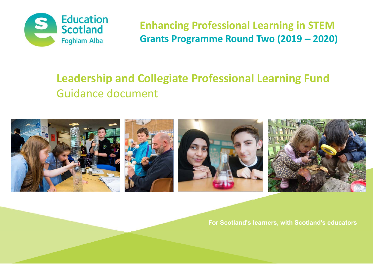

**Enhancing Professional Learning in STEM Grants Programme Round Two (2019 – 2020)**

# **Leadership and Collegiate Professional Learning Fund**  Guidance document



**For Scotland's learners, with Scotland's educators**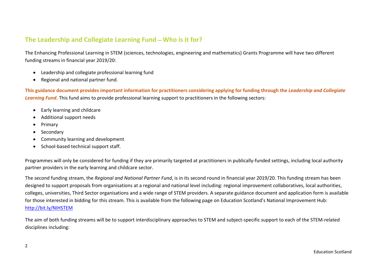# **The Leadership and Collegiate Learning Fund ̶ Who is it for?**

The Enhancing Professional Learning in STEM (sciences, technologies, engineering and mathematics) Grants Programme will have two different funding streams in financial year 2019/20:

- Leadership and collegiate professional learning fund
- . Regional and national partner fund.

**This guidance document provides important information for practitioners considering applying for funding through the** *Leadership and Collegiate Learning Fund***.** This fund aims to provide professional learning support to practitioners in the following sectors:

- $\bullet$ Early learning and childcare
- . Additional support needs
- . Primary
- . Secondary
- . Community learning and development
- School-based technical support staff.

Programmes will only be considered for funding if they are primarily targeted at practitioners in publically‐funded settings, including local authority partner providers in the early learning and childcare sector.

The second funding stream, the *Regional and National Partner Fund*, is in its second round in financial year 2019/20. This funding stream has been designed to support proposals from organisations at a regional and national level including: regional improvement collaboratives, local authorities, colleges, universities, Third Sector organisations and a wide range of STEM providers. A separate guidance document and application form is available for those interested in bidding for this stream. This is available from the following page on Education Scotland's National Improvement Hub: <http://bit.ly/NIHSTEM>

The aim of both funding streams will be to support interdisciplinary approaches to STEM and subject‐specific support to each of the STEM‐related disciplines including: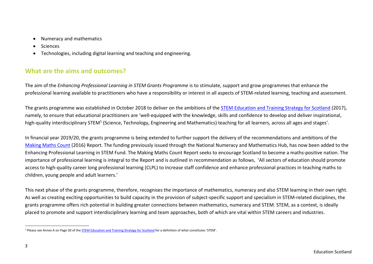- . Numeracy and mathematics
- . **Sciences**
- . Technologies, including digital learning and teaching and engineering.

# **What are the aims and outcomes?**

The aim of the *Enhancing Professional Learning in STEM Grants Programme* is to stimulate, support and grow programmes that enhance the professional learning available to practitioners who have a responsibility or interest in all aspects of STEM-related learning, teaching and assessment.

The grants programme was established in October 2018 to deliver on the ambitions of the [STEM Education and Training Strategy for Scotland](https://www.gov.scot/Resource/0052/00526536.pdf) (2017), namely, to ensure that educational practitioners are 'well-equipped with the knowledge, skills and confidence to develop and deliver inspirational, high-quality interdisciplinary STEM<sup>1</sup> (Science, Technology, Engineering and Mathematics) teaching for all learners, across all ages and stages'.

In financial year 2019/20, the grants programme is being extended to further support the delivery of the recommendations and ambitions of the [Making Maths Count](https://www.gov.scot/binaries/content/documents/govscot/publications/report/2016/09/transforming-scotland-maths-positive-nation-final-report-making-maths-count/documents/00505348-pdf/00505348-pdf/govscot%3Adocument) (2016) Report. The funding previously issued through the National Numeracy and Mathematics Hub, has now been added to the Enhancing Professional Learning in STEM Fund. The Making Maths Count Report seeks to encourage Scotland to become a maths‐positive nation. The importance of professional learning is integral to the Report and is outlined in recommendation as follows, 'All sectors of education should promote access to high-quality career long professional learning (CLPL) to increase staff confidence and enhance professional practices in teaching maths to children, young people and adult learners.'

This next phase of the grants programme, therefore, recognises the importance of mathematics, numeracy and also STEM learning in their own right. As well as creating exciting opportunities to build capacity in the provision of subject‐specific support and specialism in STEM‐related disciplines, the grants programme offers rich potential in building greater connections between mathematics, numeracy and STEM. STEM, as a context, is ideally placed to promote and support interdisciplinary learning and team approaches, both of which are vital within STEM careers and industries.

<sup>&</sup>lt;sup>1</sup> Please see Annex A on Page 50 of the **STEM Education and Training Strategy for Scotland** for a definition of what constitutes 'STEM'.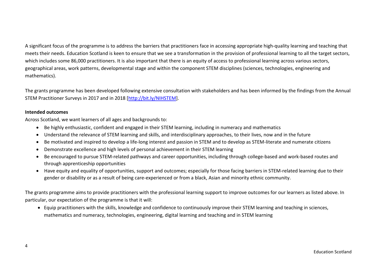A significant focus of the programme is to address the barriers that practitioners face in accessing appropriate high‐quality learning and teaching that meets their needs. Education Scotland is keen to ensure that we see a transformation in the provision of professional learning to all the target sectors, which includes some 86,000 practitioners. It is also important that there is an equity of access to professional learning across various sectors, geographical areas, work patterns, developmental stage and within the component STEM disciplines (sciences, technologies, engineering and mathematics).

The grants programme has been developed following extensive consultation with stakeholders and has been informed by the findings from the Annual STEM Practitioner Surveys in 2017 and in 2018 [<http://bit.ly/NIHSTEM>].

#### **Intended outcomes**

Across Scotland, we want learners of all ages and backgrounds to:

- Be highly enthusiastic, confident and engaged in their STEM learning, including in numeracy and mathematics
- Understand the relevance of STEM learning and skills, and interdisciplinary approaches, to their lives, now and in the future
- Be motivated and inspired to develop a life-long interest and passion in STEM and to develop as STEM-literate and numerate citizens
- $\bullet$ Demonstrate excellence and high levels of personal achievement in their STEM learning
- Be encouraged to pursue STEM-related pathways and career opportunities, including through college-based and work-based routes and through apprenticeship opportunities
- Have equity and equality of opportunities, support and outcomes; especially for those facing barriers in STEM-related learning due to their gender or disability or as a result of being care‐experienced or from a black, Asian and minority ethnic community.

The grants programme aims to provide practitioners with the professional learning support to improve outcomes for our learners as listed above. In particular, our expectation of the programme is that it will:

 Equip practitioners with the skills, knowledge and confidence to continuously improve their STEM learning and teaching in sciences, mathematics and numeracy, technologies, engineering, digital learning and teaching and in STEM learning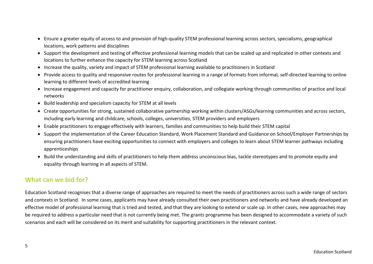- Ensure a greater equity of access to and provision of high-quality STEM professional learning across sectors, specialisms, geographical locations, work patterns and disciplines
- Support the development and testing of effective professional learning models that can be scaled up and replicated in other contexts and locations to further enhance the capacity for STEM learning across Scotland
- Increase the quality, variety and impact of STEM professional learning available to practitioners in Scotland
- Provide access to quality and responsive routes for professional learning in a range of formats from informal, self-directed learning to online learning to different levels of accredited learning
- Increase engagement and capacity for practitioner enquiry, collaboration, and collegiate working through communities of practice and local networks
- Build leadership and specialism capacity for STEM at all levels
- Create opportunities for strong, sustained collaborative partnership working within clusters/ASGs/learning communities and across sectors, including early learning and childcare, schools, colleges, universities, STEM providers and employers
- Enable practitioners to engage effectively with learners, families and communities to help build their STEM capital
- Support the implementation of the Career Education Standard, Work Placement Standard and Guidance on School/Employer Partnerships by ensuring practitioners have exciting opportunities to connect with employers and colleges to learn about STEM learner pathways including apprenticeships
- Build the understanding and skills of practitioners to help them address unconscious bias, tackle stereotypes and to promote equity and equality through learning in all aspects of STEM.

# **What can we bid for?**

Education Scotland recognises that a diverse range of approaches are required to meet the needs of practitioners across such a wide range of sectors and contexts in Scotland. In some cases, applicants may have already consulted their own practitioners and networks and have already developed an effective model of professional learning that is tried and tested, and that they are looking to extend or scale up. In other cases, new approaches may be required to address a particular need that is not currently being met. The grants programme has been designed to accommodate a variety of such scenarios and each will be considered on its merit and suitability for supporting practitioners in the relevant context.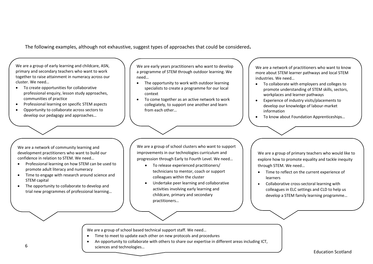The following examples, although not exhaustive, suggest types of approaches that could be considered**.**

We are a group of early learning and childcare, ASN, primary and secondary teachers who want to work together to raise attainment in numeracy across our cluster. We need…

- To create opportunities for collaborative professional enquiry, lesson study approaches, communities of practice
- . Professional learning on specific STEM aspects
- . Opportunity to collaborate across sectors to develop our pedagogy and approaches…

We are early years practitioners who want to develop a programme of STEM through outdoor learning. We need…

- The opportunity to work with outdoor learning specialists to create a programme for our local context
- $\bullet$  To come together as an active network to work collegiately, to support one another and learn from each other…

We are a network of practitioners who want to know more about STEM learner pathways and local STEM industries. We need…

- To collaborate with employers and colleges to promote understanding of STEM skills, sectors, workplaces and learner pathways
- Experience of industry visits/placements to develop our knowledge of labour‐market information
- To know about Foundation Apprenticeships...

We are a network of community learning and development practitioners who want to build our confidence in relation to STEM. We need…

- $\bullet$  Professional learning on how STEM can be used to promote adult literacy and numeracy
- $\bullet$  Time to engage with research around science and STEM capital
- $\bullet$  The opportunity to collaborate to develop and trial new programmes of professional learning…

We are a group of school clusters who want to support improvements in our technologies curriculum and progression through Early to Fourth Level. We need…

- To release experienced practitioners/ technicians to mentor, coach or support colleagues within the cluster
- ٠ Undertake peer learning and collaborative activities involving early learning and childcare, primary and secondary practitioners…

We are a group of primary teachers who would like to explore how to promote equality and tackle inequity through STEM. We need…

- Time to reflect on the current experience of learners
- Collaborative cross-sectoral learning with colleagues in ELC settings and CLD to help us develop a STEM family learning programme…

We are a group of school based technical support staff. We need…

- $\bullet$ Time to meet to update each other on new protocols and procedures
- $\bullet$  An opportunity to collaborate with others to share our expertise in different areas including ICT, sciences and technologies…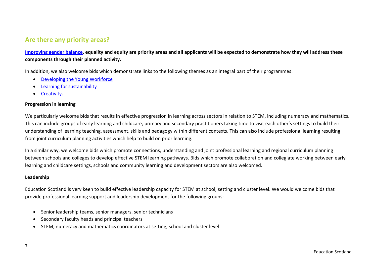# **Are there any priority areas?**

**[Improving gender balance,](https://education.gov.scot/improvement/learning-resources/Improving gender balance 3-18) equality and equity are priority areas and all applicants will be expected to demonstrate how they will address these components through their planned activity.** 

In addition, we also welcome bids which demonstrate links to the following themes as an integral part of their programmes:

- $\bullet$ [Developing the Young Workforce](https://education.gov.scot/improvement/learning-resources/A summary of Developing the Young Workforce (DYW) resources)
- $\bullet$ [Learning for sustainability](https://education.gov.scot/improvement/learning-resources/A summary of learning for sustainability resources)
- $\bullet$ [Creativity](https://education.gov.scot/improvement/learning-resources/What are creativity skills?).

#### **Progression in learning**

We particularly welcome bids that results in effective progression in learning across sectors in relation to STEM, including numeracy and mathematics. This can include groups of early learning and childcare, primary and secondary practitioners taking time to visit each other's settings to build their understanding of learning teaching, assessment, skills and pedagogy within different contexts. This can also include professional learning resulting from joint curriculum planning activities which help to build on prior learning.

In a similar way, we welcome bids which promote connections, understanding and joint professional learning and regional curriculum planning between schools and colleges to develop effective STEM learning pathways. Bids which promote collaboration and collegiate working between early learning and childcare settings, schools and community learning and development sectors are also welcomed.

### **Leadership**

Education Scotland is very keen to build effective leadership capacity for STEM at school, setting and cluster level. We would welcome bids that provide professional learning support and leadership development for the following groups:

- 8 Senior leadership teams, senior managers, senior technicians
- $\bullet$ Secondary faculty heads and principal teachers
- STEM, numeracy and mathematics coordinators at setting, school and cluster level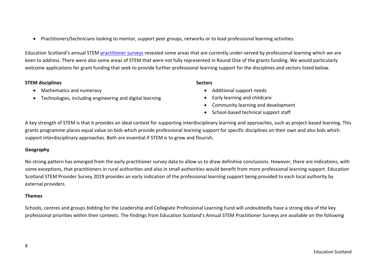Practitioners/technicians looking to mentor, support peer groups, networks or to lead professional learning activities.

Education Scotland's annual STEM [practitioner surveys](http://bit.ly/NIHSTEM) revealed some areas that are currently under-served by professional learning which we are keen to address. There were also some areas of STEM that were not fully represented in Round One of the grants funding. We would particularly welcome applications for grant funding that seek to provide further professional learning support for the disciplines and sectors listed below.

#### **STEM disciplines**

- Mathematics and numeracy
- Technologies, including engineering and digital learning

#### **Sectors**

- Additional support needs
- $\bullet$ Early learning and childcare
- Community learning and development
- School-based technical support staff

A key strength of STEM is that it provides an ideal context for supporting interdisciplinary learning and approaches, such as project-based learning. This grants programme places equal value on bids which provide professional learning support for specific disciplines on their own and also bids which support interdisciplinary approaches. Both are essential if STEM is to grow and flourish.

### **Geography**

No strong pattern has emerged from the early practitioner survey data to allow us to draw definitive conclusions. However, there are indications, with some exceptions, that practitioners in rural authorities and also in small authorities would benefit from more professional learning support. Education Scotland STEM Provider Survey 2019 provides an early indication of the professional learning support being provided to each local authority by external providers.

### **Themes**

Schools, centres and groups bidding for the Leadership and Collegiate Professional Learning Fund will undoubtedly have a strong idea of the key professional priorities within their contexts. The findings from Education Scotland's Annual STEM Practitioner Surveys are available on the following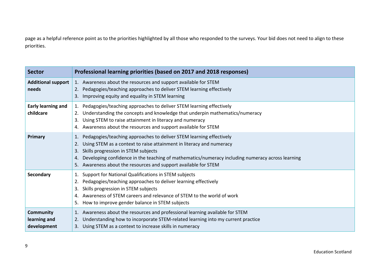page as a helpful reference point as to the priorities highlighted by all those who responded to the surveys. Your bid does not need to align to these priorities.

| <b>Sector</b>                                   | Professional learning priorities (based on 2017 and 2018 responses)                                                                                                                                                                                                                                                                                                   |  |  |
|-------------------------------------------------|-----------------------------------------------------------------------------------------------------------------------------------------------------------------------------------------------------------------------------------------------------------------------------------------------------------------------------------------------------------------------|--|--|
| Additional support<br>needs                     | 1. Awareness about the resources and support available for STEM<br>2. Pedagogies/teaching approaches to deliver STEM learning effectively<br>3. Improving equity and equality in STEM learning                                                                                                                                                                        |  |  |
| <b>Early learning and</b><br>childcare          | 1. Pedagogies/teaching approaches to deliver STEM learning effectively<br>2. Understanding the concepts and knowledge that underpin mathematics/numeracy<br>3. Using STEM to raise attainment in literacy and numeracy<br>4. Awareness about the resources and support available for STEM                                                                             |  |  |
| <b>Primary</b>                                  | Pedagogies/teaching approaches to deliver STEM learning effectively<br>1.<br>Using STEM as a context to raise attainment in literacy and numeracy<br>3. Skills progression in STEM subjects<br>4. Developing confidence in the teaching of mathematics/numeracy including numeracy across learning<br>5. Awareness about the resources and support available for STEM |  |  |
| Secondary                                       | 1. Support for National Qualifications in STEM subjects<br>2. Pedagogies/teaching approaches to deliver learning effectively<br>3. Skills progression in STEM subjects<br>4. Awareness of STEM careers and relevance of STEM to the world of work<br>How to improve gender balance in STEM subjects<br>5.                                                             |  |  |
| <b>Community</b><br>learning and<br>development | 1. Awareness about the resources and professional learning available for STEM<br>Understanding how to incorporate STEM-related learning into my current practice<br>2.<br>3. Using STEM as a context to increase skills in numeracy                                                                                                                                   |  |  |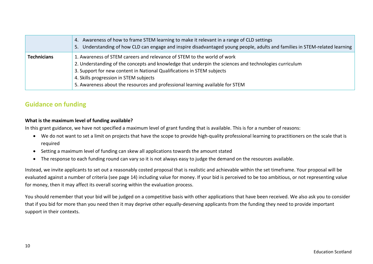|                    | 4. Awareness of how to frame STEM learning to make it relevant in a range of CLD settings<br>5. Understanding of how CLD can engage and inspire disadvantaged young people, adults and families in STEM-related learning                                                                                                                                                              |
|--------------------|---------------------------------------------------------------------------------------------------------------------------------------------------------------------------------------------------------------------------------------------------------------------------------------------------------------------------------------------------------------------------------------|
| <b>Technicians</b> | 1. Awareness of STEM careers and relevance of STEM to the world of work<br>2. Understanding of the concepts and knowledge that underpin the sciences and technologies curriculum<br>3. Support for new content in National Qualifications in STEM subjects<br>4. Skills progression in STEM subjects<br>5. Awareness about the resources and professional learning available for STEM |

# **Guidance on funding**

### **What is the maximum level of funding available?**

In this grant guidance, we have not specified a maximum level of grant funding that is available. This is for a number of reasons:

- We do not want to set a limit on projects that have the scope to provide high-quality professional learning to practitioners on the scale that is required
- Setting a maximum level of funding can skew all applications towards the amount stated
- The response to each funding round can vary so it is not always easy to judge the demand on the resources available.

Instead, we invite applicants to set out a reasonably costed proposal that is realistic and achievable within the set timeframe. Your proposal will be evaluated against a number of criteria (see page 14) including value for money. If your bid is perceived to be too ambitious, or not representing value for money, then it may affect its overall scoring within the evaluation process.

You should remember that your bid will be judged on a competitive basis with other applications that have been received. We also ask you to consider that if you bid for more than you need then it may deprive other equally‐deserving applicants from the funding they need to provide important support in their contexts.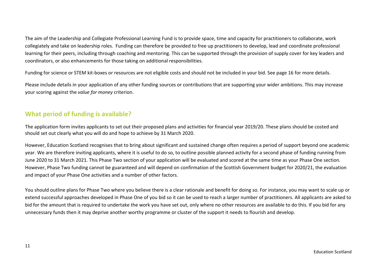The aim of the Leadership and Collegiate Professional Learning Fund is to provide space, time and capacity for practitioners to collaborate, work collegiately and take on leadership roles. Funding can therefore be provided to free up practitioners to develop, lead and coordinate professional learning for their peers, including through coaching and mentoring. This can be supported through the provision of supply cover for key leaders and coordinators, or also enhancements for those taking on additional responsibilities.

Funding for science or STEM kit-boxes or resources are not eligible costs and should not be included in your bid. See page 16 for more details.

Please include details in your application of any other funding sources or contributions that are supporting your wider ambitions. This may increase your scoring against the *value for money* criterion.

### **What period of funding is available?**

The application form invites applicants to set out their proposed plans and activities for financial year 2019/20. These plans should be costed and should set out clearly what you will do and hope to achieve by 31 March 2020.

However, Education Scotland recognises that to bring about significant and sustained change often requires a period of support beyond one academic year. We are therefore inviting applicants, where it is useful to do so, to outline possible planned activity for a second phase of funding running from June 2020 to 31 March 2021. This Phase Two section of your application will be evaluated and scored at the same time as your Phase One section. However, Phase Two funding cannot be guaranteed and will depend on confirmation of the Scottish Government budget for 2020/21, the evaluation and impact of your Phase One activities and a number of other factors.

You should outline plans for Phase Two where you believe there is a clear rationale and benefit for doing so. For instance, you may want to scale up or extend successful approaches developed in Phase One of you bid so it can be used to reach a larger number of practitioners. All applicants are asked to bid for the amount that is required to undertake the work you have set out, only where no other resources are available to do this. If you bid for any unnecessary funds then it may deprive another worthy programme or cluster of the support it needs to flourish and develop.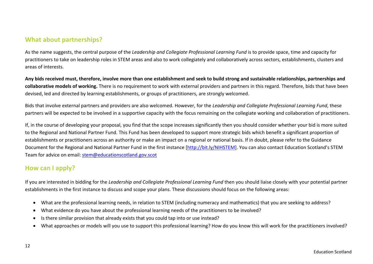# **What about partnerships?**

As the name suggests, the central purpose of the *Leadership and Collegiate Professional Learning Fund* is to provide space, time and capacity for practitioners to take on leadership roles in STEM areas and also to work collegiately and collaboratively across sectors, establishments, clusters and areas of interests.

**Any bids received must, therefore, involve more than one establishment and seek to build strong and sustainable relationships, partnerships and collaborative models of working.** There is no requirement to work with external providers and partners in this regard. Therefore, bids that have been devised, led and directed by learning establishments, or groups of practitioners, are strongly welcomed.

Bids that involve external partners and providers are also welcomed. However, for the *Leadership and Collegiate Professional Learning Fund*, these partners will be expected to be involved in a supportive capacity with the focus remaining on the collegiate working and collaboration of practitioners.

If, in the course of developing your proposal, you find that the scope increases significantly then you should consider whether your bid is more suited to the Regional and National Partner Fund. This Fund has been developed to support more strategic bids which benefit a significant proportion of establishments or practitioners across an authority or make an impact on a regional or national basis. If in doubt, please refer to the Guidance Document for the Regional and National Partner Fund in the first instance [http://bit.ly/NIHSTEM]. You can also contact Education Scotland's STEM Team for advice on email: [stem@educationscotland.gov.scot](mailto:stem@educationscotland.gov.scot)

# **How can I apply?**

If you are interested in bidding for the *Leadership and Collegiate Professional Learning Fund* then you should liaise closely with your potential partner establishments in the first instance to discuss and scope your plans. These discussions should focus on the following areas:

- What are the professional learning needs, in relation to STEM (including numeracy and mathematics) that you are seeking to address?
- $\bullet$ What evidence do you have about the professional learning needs of the practitioners to be involved?
- $\bullet$ Is there similar provision that already exists that you could tap into or use instead?
- 8 What approaches or models will you use to support this professional learning? How do you know this will work for the practitioners involved?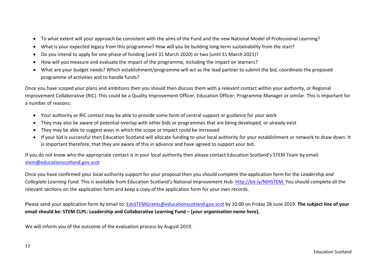- $\bullet$ To what extent will your approach be consistent with the aims of the Fund and the new National Model of Professional Learning?
- . What is your expected legacy from this programme? How will you be building long‐term sustainability from the start?
- $\bullet$ Do you intend to apply for one phase of funding (until 31 March 2020) or two (until 31 March 2021)?
- . How will you measure and evaluate the impact of the programme, including the impact on learners?
- $\bullet$  What are your budget needs? Which establishment/programme will act as the lead partner to submit the bid, coordinate the proposed programme of activities and to handle funds?

Once you have scoped your plans and ambitions then you should then discuss them with a relevant contact within your authority, or Regional Improvement Collaborative (RIC). This could be a Quality Improvement Officer, Education Officer, Programme Manager or similar. This is important for a number of reasons:

- Your authority or RIC contact may be able to provide some form of central support or guidance for your work
- They may also be aware of potential overlap with other bids or programmes that are being developed, or already exist
- They may be able to suggest ways in which the scope or impact could be increased
- If your bid is successful then Education Scotland will allocate funding to your local authority for your establishment or network to draw down. It is important therefore, that they are aware of this in advance and have agreed to support your bid.

If you do not know who the appropriate contact is in your local authority then please contact Education Scotland's STEM Team by email: [stem@educationscotland.gov.scot](mailto:stem@educationscotland.gov.scot)

Once you have confirmed your local authority support for your proposal then you should complete the application form for the *Leadership and Collegiate Learning Fund.* This is available from Education Scotland's National Improvement Hub:<http://bit.ly/NIHSTEM>. You should complete all the relevant sections on the application form and keep a copy of the application form for your own records.

Please send your application form by email to: [EdsSTEMGrants@educationscotland.gov.scot](mailto:EdsSTEMGrants@educationscotland.gov.scot) by 10:00 on Friday 28 June 2019. **The subject line of your email should be: STEM CLPL: Leadership and Collaborative Learning Fund – [***your organisation name here***].** 

We will inform you of the outcome of the evaluation process by August 2019.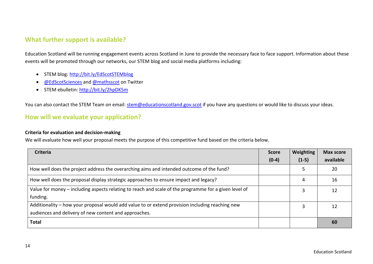# **What further support is available?**

Education Scotland will be running engagement events across Scotland in June to provide the necessary face to face support. Information about these events will be promoted through our networks, our STEM blog and social media platforms including:

- **STEM blog:<http://bit.ly/EdScotSTEMblog>**
- **[@EdScotSciences](https://twitter.com/EdScotSciences) and [@mathsscot](https://twitter.com/mathsscot) on Twitter**
- STEM ebulletin:<http://bit.ly/2hpDK5m>

You can also contact the STEM Team on email: [stem@educationscotland.gov.scot](http://bit.ly/2hpDK5m) if you have any questions or would like to discuss your ideas.

# **How will we evaluate your application?**

#### **Criteria for evaluation and decision-making**

We will evaluate how well your proposal meets the purpose of this competitive fund based on the criteria below.

| <b>Criteria</b>                                                                                       | <b>Score</b> | <b>Weighting</b> | <b>Max score</b> |
|-------------------------------------------------------------------------------------------------------|--------------|------------------|------------------|
|                                                                                                       | $(0-4)$      | $(1-5)$          | available        |
| How well does the project address the overarching aims and intended outcome of the fund?              |              |                  | 20               |
| How well does the proposal display strategic approaches to ensure impact and legacy?                  |              | 4                | 16               |
| Value for money - including aspects relating to reach and scale of the programme for a given level of |              |                  | 12               |
| funding.                                                                                              |              |                  |                  |
| Additionality - how your proposal would add value to or extend provision including reaching new       |              |                  | 12               |
| audiences and delivery of new content and approaches.                                                 |              |                  |                  |
| <b>Total</b>                                                                                          |              |                  | 60               |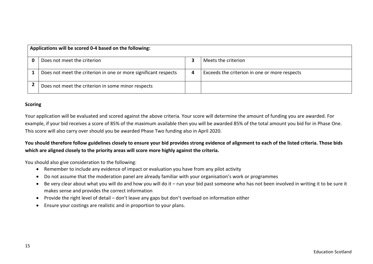| Applications will be scored 0-4 based on the following: |                                                                 |   |                                               |  |  |  |
|---------------------------------------------------------|-----------------------------------------------------------------|---|-----------------------------------------------|--|--|--|
|                                                         | Does not meet the criterion                                     |   | Meets the criterion                           |  |  |  |
|                                                         | Does not meet the criterion in one or more significant respects | 4 | Exceeds the criterion in one or more respects |  |  |  |
|                                                         | Does not meet the criterion in some minor respects              |   |                                               |  |  |  |

#### **Scoring**

Your application will be evaluated and scored against the above criteria. Your score will determine the amount of funding you are awarded. For example, if your bid receives a score of 85% of the maximum available then you will be awarded 85% of the total amount you bid for in Phase One. This score will also carry over should you be awarded Phase Two funding also in April 2020.

### **You should therefore follow guidelines closely to ensure your bid provides strong evidence of alignment to each of the listed criteria. Those bids which are aligned closely to the priority areas will score more highly against the criteria.**

You should also give consideration to the following:

- Remember to include any evidence of impact or evaluation you have from any pilot activity
- Do not assume that the moderation panel are already familiar with your organisation's work or programmes
- Be very clear about what you will do and how you will do it run your bid past someone who has not been involved in writing it to be sure it makes sense and provides the correct information
- Provide the right level of detail don't leave any gaps but don't overload on information either
- Ensure your costings are realistic and in proportion to your plans.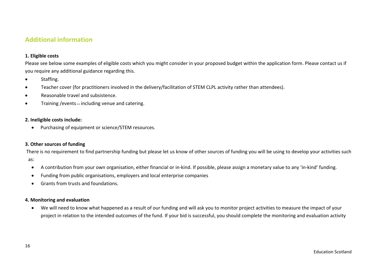# **Additional information**

#### **1. Eligible costs**

Please see below some examples of eligible costs which you might consider in your proposed budget within the application form. Please contact us if you require any additional guidance regarding this.

- $\bullet$ Staffing.
- $\bullet$ Teacher cover (for practitioners involved in the delivery/facilitation of STEM CLPL activity rather than attendees).
- $\bullet$ Reasonable travel and subsistence.
- $\bullet$ Training / events - including venue and catering.

#### **2. Ineligible costs include:**

 $\bullet$ Purchasing of equipment or science/STEM resources.

### **3. Other sources of funding**

There is no requirement to find partnership funding but please let us know of other sources of funding you will be using to develop your activities such

as:

- $\bullet$ A contribution from your own organisation, either financial or in‐kind. If possible, please assign a monetary value to any 'in‐kind' funding.
- $\bullet$ Funding from public organisations, employers and local enterprise companies
- . Grants from trusts and foundations.

### **4. Monitoring and evaluation**

 $\bullet$  We will need to know what happened as a result of our funding and will ask you to monitor project activities to measure the impact of your project in relation to the intended outcomes of the fund. If your bid is successful, you should complete the monitoring and evaluation activity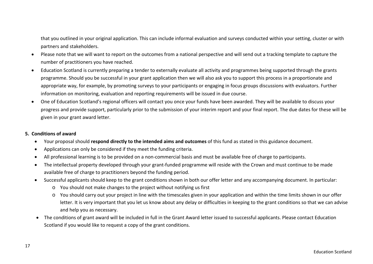that you outlined in your original application. This can include informal evaluation and surveys conducted within your setting, cluster or with partners and stakeholders.

- Please note that we will want to report on the outcomes from a national perspective and will send out a tracking template to capture the number of practitioners you have reached.
- $\bullet$  Education Scotland is currently preparing a tender to externally evaluate all activity and programmes being supported through the grants programme. Should you be successful in your grant application then we will also ask you to support this process in a proportionate and appropriate way, for example, by promoting surveys to your participants or engaging in focus groups discussions with evaluators. Further information on monitoring, evaluation and reporting requirements will be issued in due course.
- $\bullet$  One of Education Scotland's regional officers will contact you once your funds have been awarded. They will be available to discuss your progress and provide support, particularly prior to the submission of your interim report and your final report. The due dates for these will be given in your grant award letter.

### **5. Conditions of award**

- Your proposal should **respond directly to the intended aims and outcomes** of this fund as stated in this guidance document.
- $\bullet$ Applications can only be considered if they meet the funding criteria.
- $\bullet$ All professional learning is to be provided on a non‐commercial basis and must be available free of charge to participants.
- The intellectual property developed through your grant-funded programme will reside with the Crown and must continue to be made available free of charge to practitioners beyond the funding period.
- . Successful applicants should keep to the grant conditions shown in both our offer letter and any accompanying document. In particular:
	- o You should not make changes to the project without notifying us first
	- o You should carry out your project in line with the timescales given in your application and within the time limits shown in our offer letter. It is very important that you let us know about any delay or difficulties in keeping to the grant conditions so that we can advise and help you as necessary.
- The conditions of grant award will be included in full in the Grant Award letter issued to successful applicants. Please contact Education Scotland if you would like to request a copy of the grant conditions.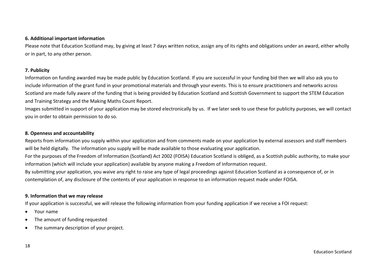#### **6. Additional important information**

Please note that Education Scotland may, by giving at least 7 days written notice, assign any of its rights and obligations under an award, either wholly or in part, to any other person.

#### **7. Publicity**

Information on funding awarded may be made public by Education Scotland. If you are successful in your funding bid then we will also ask you to include information of the grant fund in your promotional materials and through your events. This is to ensure practitioners and networks across Scotland are made fully aware of the funding that is being provided by Education Scotland and Scottish Government to support the STEM Education and Training Strategy and the Making Maths Count Report.

Images submitted in support of your application may be stored electronically by us. If we later seek to use these for publicity purposes, we will contact you in order to obtain permission to do so.

### **8. Openness and accountability**

Reports from information you supply within your application and from comments made on your application by external assessors and staff members will be held digitally. The information you supply will be made available to those evaluating your application. For the purposes of the Freedom of Information (Scotland) Act 2002 (FOISA) Education Scotland is obliged, as a Scottish public authority, to make your information (which will include your application) available by anyone making a Freedom of Information request. By submitting your application, you waive any right to raise any type of legal proceedings against Education Scotland as a consequence of, or in contemplation of, any disclosure of the contents of your application in response to an information request made under FOISA.

### **9. Information that we may release**

If your application is successful, we will release the following information from your funding application if we receive a FOI request:

- 8 Your name
- . The amount of funding requested
- $\bullet$ The summary description of your project.

Education Scotland